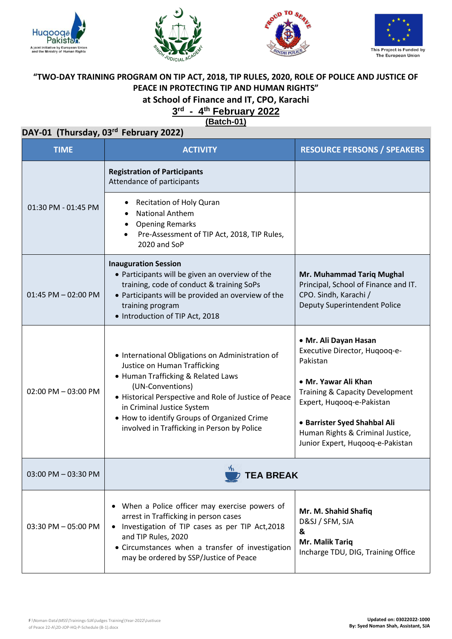







### **"TWO-DAY TRAINING PROGRAM ON TIP ACT, 2018, TIP RULES, 2020, ROLE OF POLICE AND JUSTICE OF PEACE IN PROTECTING TIP AND HUMAN RIGHTS" at School of Finance and IT, CPO, Karachi**

### **3 rd - 4 th February 2022**

**(Batch-01)**

## **DAY-01 (Thursday, 03 rd February 2022)**

| <b>TIME</b>            | <b>ACTIVITY</b>                                                                                                                                                                                                                                                                                                                 | <b>RESOURCE PERSONS / SPEAKERS</b>                                                                                                                                                                                                                                            |
|------------------------|---------------------------------------------------------------------------------------------------------------------------------------------------------------------------------------------------------------------------------------------------------------------------------------------------------------------------------|-------------------------------------------------------------------------------------------------------------------------------------------------------------------------------------------------------------------------------------------------------------------------------|
|                        | <b>Registration of Participants</b><br>Attendance of participants                                                                                                                                                                                                                                                               |                                                                                                                                                                                                                                                                               |
| 01:30 PM - 01:45 PM    | Recitation of Holy Quran<br><b>National Anthem</b><br><b>Opening Remarks</b><br>Pre-Assessment of TIP Act, 2018, TIP Rules,<br>2020 and SoP                                                                                                                                                                                     |                                                                                                                                                                                                                                                                               |
| $01:45$ PM $-02:00$ PM | <b>Inauguration Session</b><br>• Participants will be given an overview of the<br>training, code of conduct & training SoPs<br>• Participants will be provided an overview of the<br>training program<br>• Introduction of TIP Act, 2018                                                                                        | Mr. Muhammad Tariq Mughal<br>Principal, School of Finance and IT.<br>CPO. Sindh, Karachi /<br>Deputy Superintendent Police                                                                                                                                                    |
| 02:00 PM - 03:00 PM    | • International Obligations on Administration of<br>Justice on Human Trafficking<br>• Human Trafficking & Related Laws<br>(UN-Conventions)<br>• Historical Perspective and Role of Justice of Peace<br>in Criminal Justice System<br>• How to identify Groups of Organized Crime<br>involved in Trafficking in Person by Police | • Mr. Ali Dayan Hasan<br>Executive Director, Huqooq-e-<br>Pakistan<br>• Mr. Yawar Ali Khan<br><b>Training &amp; Capacity Development</b><br>Expert, Huqooq-e-Pakistan<br>• Barrister Syed Shahbal Ali<br>Human Rights & Criminal Justice,<br>Junior Expert, Huqooq-e-Pakistan |
| 03:00 PM - 03:30 PM    | TEA BREAK                                                                                                                                                                                                                                                                                                                       |                                                                                                                                                                                                                                                                               |
| $03:30$ PM $-05:00$ PM | • When a Police officer may exercise powers of<br>arrest in Trafficking in person cases<br>• Investigation of TIP cases as per TIP Act, 2018<br>and TIP Rules, 2020<br>• Circumstances when a transfer of investigation<br>may be ordered by SSP/Justice of Peace                                                               | Mr. M. Shahid Shafiq<br>D&SJ / SFM, SJA<br>&<br>Mr. Malik Tariq<br>Incharge TDU, DIG, Training Office                                                                                                                                                                         |